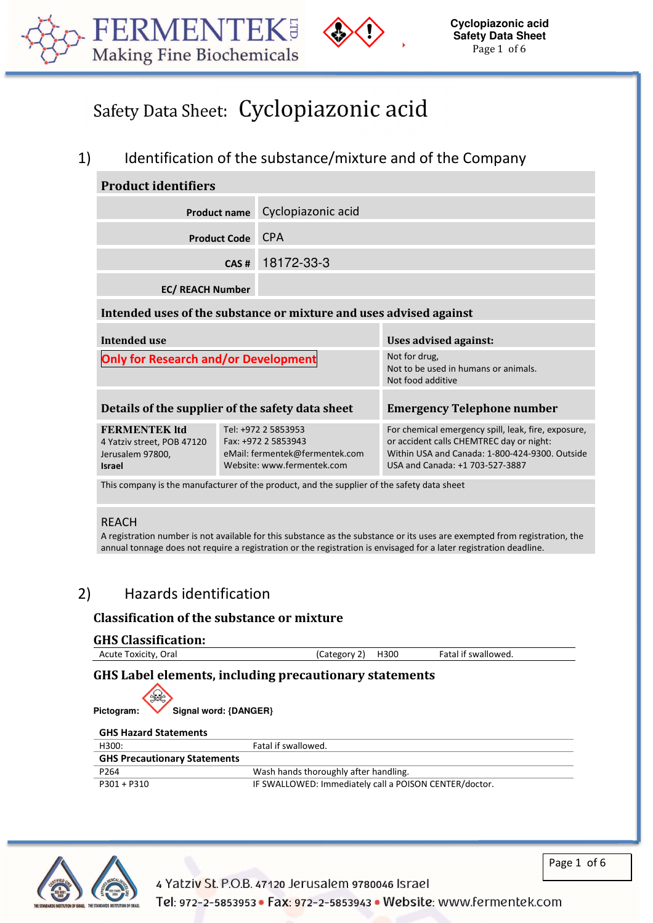



# Safety Data Sheet: Cyclopiazonic acid

# 1) Identification of the substance/mixture and of the Company

l

| <b>Product identifiers</b>                                                                 |                                                                                                            |                                                                            |                                                                                                                                                                                      |
|--------------------------------------------------------------------------------------------|------------------------------------------------------------------------------------------------------------|----------------------------------------------------------------------------|--------------------------------------------------------------------------------------------------------------------------------------------------------------------------------------|
| <b>Product name</b>                                                                        |                                                                                                            | Cyclopiazonic acid                                                         |                                                                                                                                                                                      |
|                                                                                            | <b>Product Code</b>                                                                                        | <b>CPA</b>                                                                 |                                                                                                                                                                                      |
|                                                                                            | CAS#                                                                                                       | 18172-33-3                                                                 |                                                                                                                                                                                      |
| <b>EC/ REACH Number</b>                                                                    |                                                                                                            |                                                                            |                                                                                                                                                                                      |
| Intended uses of the substance or mixture and uses advised against                         |                                                                                                            |                                                                            |                                                                                                                                                                                      |
| <b>Intended use</b>                                                                        | Uses advised against:                                                                                      |                                                                            |                                                                                                                                                                                      |
| <b>Only for Research and/or Development</b>                                                |                                                                                                            | Not for drug,<br>Not to be used in humans or animals.<br>Not food additive |                                                                                                                                                                                      |
| Details of the supplier of the safety data sheet                                           |                                                                                                            | <b>Emergency Telephone number</b>                                          |                                                                                                                                                                                      |
| <b>FERMENTEK ltd</b><br>4 Yatziv street, POB 47120<br>Jerusalem 97800,<br><b>Israel</b>    | Tel: +972 2 5853953<br>Fax: +972 2 5853943<br>eMail: fermentek@fermentek.com<br>Website: www.fermentek.com |                                                                            | For chemical emergency spill, leak, fire, exposure,<br>or accident calls CHEMTREC day or night:<br>Within USA and Canada: 1-800-424-9300, Outside<br>USA and Canada: +1 703-527-3887 |
| This company is the manufacturer of the product, and the supplier of the safety data sheet |                                                                                                            |                                                                            |                                                                                                                                                                                      |

#### REACH

A registration number is not available for this substance as the substance or its uses are exempted from registration, the annual tonnage does not require a registration or the registration is envisaged for a later registration deadline.

# 2) Hazards identification

### **Classification of the substance or mixture**

#### **GHS Classification:**

| .                    |                      |                     |  |
|----------------------|----------------------|---------------------|--|
| Acute Toxicity, Oral | H300<br>'Category 2) | Fatal if swallowed. |  |
|                      |                      |                     |  |

### **GHS Label elements, including precautionary statements**

| ₩<br>Pictogram:                     | Signal word: {DANGER} |  |
|-------------------------------------|-----------------------|--|
| <b>GHS Hazard Statements</b>        |                       |  |
| H300:                               | Fatal if swallowed.   |  |
| <b>GHS Precautionary Statements</b> |                       |  |





4 Yatziv St. P.O.B. 47120 Jerusalem 9780046 Israel

Page 1 of 6

Tel: 972-2-5853953 · Fax: 972-2-5853943 · Website: www.fermentek.com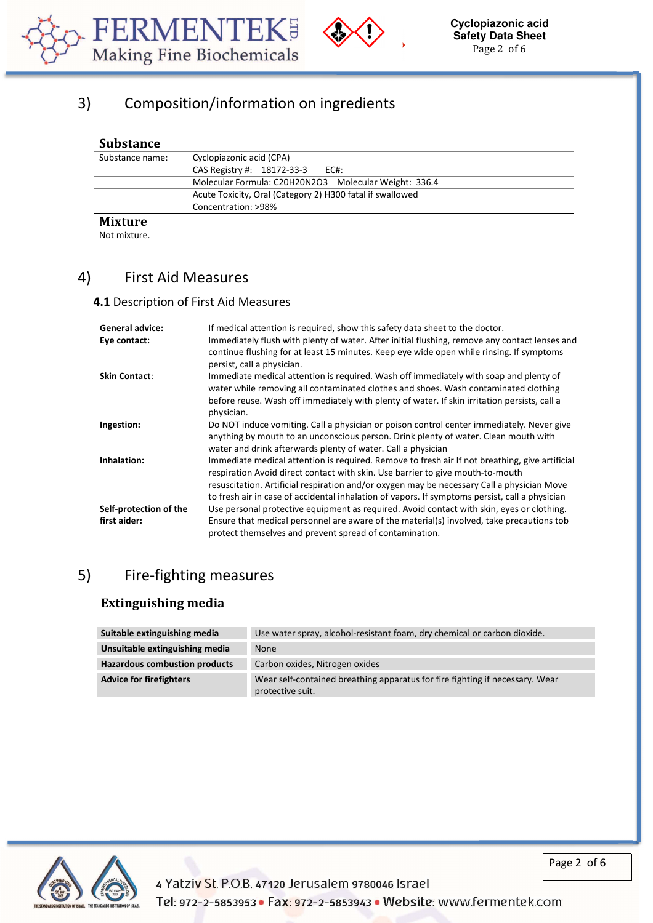



# 3) Composition/information on ingredients

#### **Substance**

| Substance name: | Cyclopiazonic acid (CPA)                                  |
|-----------------|-----------------------------------------------------------|
|                 | CAS Registry #: 18172-33-3 EC#:                           |
|                 | Molecular Formula: C20H20N2O3 Molecular Weight: 336.4     |
|                 | Acute Toxicity, Oral (Category 2) H300 fatal if swallowed |
|                 | Concentration: >98%                                       |
| $M$ :           |                                                           |

l

### **Mixture**

Not mixture.

## 4) First Aid Measures

#### **4.1** Description of First Aid Measures

| <b>General advice:</b> | If medical attention is required, show this safety data sheet to the doctor.                                                                                                                                                                                                                                                                                                     |
|------------------------|----------------------------------------------------------------------------------------------------------------------------------------------------------------------------------------------------------------------------------------------------------------------------------------------------------------------------------------------------------------------------------|
| Eye contact:           | Immediately flush with plenty of water. After initial flushing, remove any contact lenses and<br>continue flushing for at least 15 minutes. Keep eye wide open while rinsing. If symptoms<br>persist, call a physician.                                                                                                                                                          |
| <b>Skin Contact:</b>   | Immediate medical attention is required. Wash off immediately with soap and plenty of<br>water while removing all contaminated clothes and shoes. Wash contaminated clothing<br>before reuse. Wash off immediately with plenty of water. If skin irritation persists, call a<br>physician.                                                                                       |
| Ingestion:             | Do NOT induce vomiting. Call a physician or poison control center immediately. Never give<br>anything by mouth to an unconscious person. Drink plenty of water. Clean mouth with<br>water and drink afterwards plenty of water. Call a physician                                                                                                                                 |
| Inhalation:            | Immediate medical attention is required. Remove to fresh air If not breathing, give artificial<br>respiration Avoid direct contact with skin. Use barrier to give mouth-to-mouth<br>resuscitation. Artificial respiration and/or oxygen may be necessary Call a physician Move<br>to fresh air in case of accidental inhalation of vapors. If symptoms persist, call a physician |
| Self-protection of the | Use personal protective equipment as required. Avoid contact with skin, eyes or clothing.                                                                                                                                                                                                                                                                                        |
| first aider:           | Ensure that medical personnel are aware of the material(s) involved, take precautions tob<br>protect themselves and prevent spread of contamination.                                                                                                                                                                                                                             |

# 5) Fire-fighting measures

### **Extinguishing media**

| Suitable extinguishing media         | Use water spray, alcohol-resistant foam, dry chemical or carbon dioxide.                         |
|--------------------------------------|--------------------------------------------------------------------------------------------------|
| Unsuitable extinguishing media       | <b>None</b>                                                                                      |
| <b>Hazardous combustion products</b> | Carbon oxides, Nitrogen oxides                                                                   |
| <b>Advice for firefighters</b>       | Wear self-contained breathing apparatus for fire fighting if necessary. Wear<br>protective suit. |



Page 2 of 6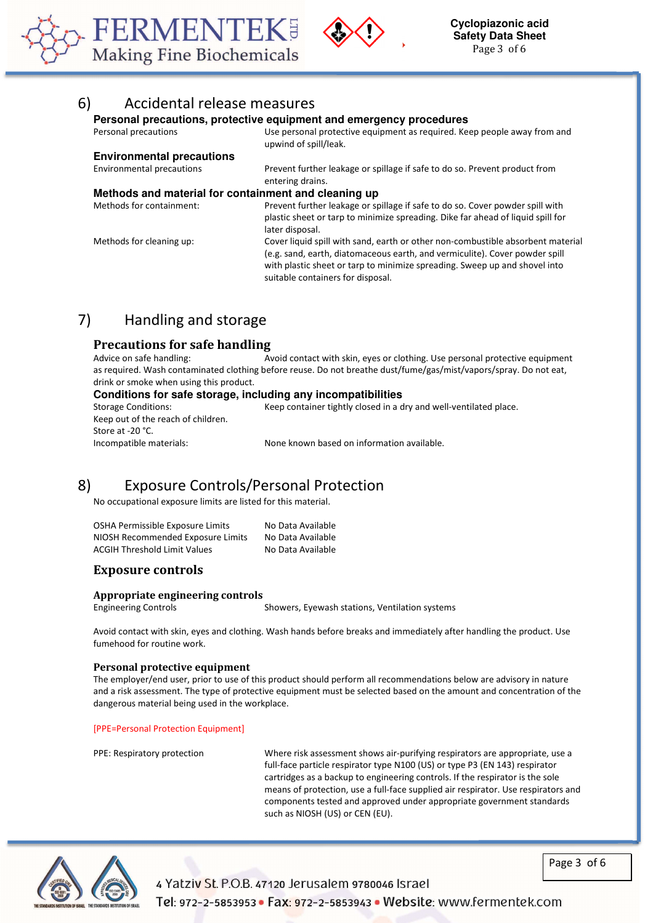



### 6) Accidental release measures

#### **Personal precautions, protective equipment and emergency procedures**

l

| Personal precautions                                 | Use personal protective equipment as required. Keep people away from and<br>upwind of spill/leak.                                                                                                                                                                                 |
|------------------------------------------------------|-----------------------------------------------------------------------------------------------------------------------------------------------------------------------------------------------------------------------------------------------------------------------------------|
| <b>Environmental precautions</b>                     |                                                                                                                                                                                                                                                                                   |
| <b>Environmental precautions</b>                     | Prevent further leakage or spillage if safe to do so. Prevent product from<br>entering drains.                                                                                                                                                                                    |
| Methods and material for containment and cleaning up |                                                                                                                                                                                                                                                                                   |
| Methods for containment:                             | Prevent further leakage or spillage if safe to do so. Cover powder spill with<br>plastic sheet or tarp to minimize spreading. Dike far ahead of liquid spill for<br>later disposal.                                                                                               |
| Methods for cleaning up:                             | Cover liquid spill with sand, earth or other non-combustible absorbent material<br>(e.g. sand, earth, diatomaceous earth, and vermiculite). Cover powder spill<br>with plastic sheet or tarp to minimize spreading. Sweep up and shovel into<br>suitable containers for disposal. |

# 7) Handling and storage

#### **Precautions for safe handling**

Advice on safe handling: Avoid contact with skin, eyes or clothing. Use personal protective equipment as required. Wash contaminated clothing before reuse. Do not breathe dust/fume/gas/mist/vapors/spray. Do not eat, drink or smoke when using this product.

#### **Conditions for safe storage, including any incompatibilities**

Keep out of the reach of children. Store at -20 °C.

Storage Conditions: Keep container tightly closed in a dry and well-ventilated place.

Incompatible materials: None known based on information available.

### 8) Exposure Controls/Personal Protection

No occupational exposure limits are listed for this material.

| OSHA Permissible Exposure Limits    | No Data Available |
|-------------------------------------|-------------------|
| NIOSH Recommended Exposure Limits   | No Data Available |
| <b>ACGIH Threshold Limit Values</b> | No Data Available |

#### **Exposure controls**

#### **Appropriate engineering controls**

Engineering Controls Showers, Eyewash stations, Ventilation systems

Avoid contact with skin, eyes and clothing. Wash hands before breaks and immediately after handling the product. Use fumehood for routine work.

#### **Personal protective equipment**

The employer/end user, prior to use of this product should perform all recommendations below are advisory in nature and a risk assessment. The type of protective equipment must be selected based on the amount and concentration of the dangerous material being used in the workplace.

[PPE=Personal Protection Equipment]

PPE: Respiratory protection Where risk assessment shows air-purifying respirators are appropriate, use a full-face particle respirator type N100 (US) or type P3 (EN 143) respirator cartridges as a backup to engineering controls. If the respirator is the sole means of protection, use a full-face supplied air respirator. Use respirators and components tested and approved under appropriate government standards such as NIOSH (US) or CEN (EU).



Page 3 of 6

4 Yatziv St. P.O.B. 47120 Jerusalem 9780046 Israel Tel: 972-2-5853953 • Fax: 972-2-5853943 • Website: www.fermentek.com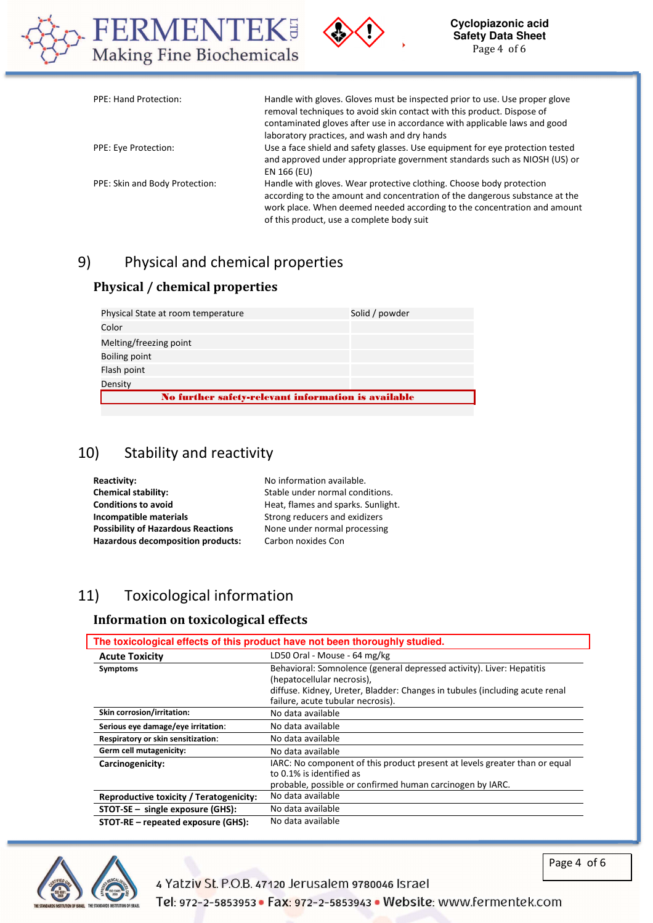



| <b>PPE: Hand Protection:</b>   | Handle with gloves. Gloves must be inspected prior to use. Use proper glove<br>removal techniques to avoid skin contact with this product. Dispose of<br>contaminated gloves after use in accordance with applicable laws and good<br>laboratory practices, and wash and dry hands |
|--------------------------------|------------------------------------------------------------------------------------------------------------------------------------------------------------------------------------------------------------------------------------------------------------------------------------|
| PPE: Eye Protection:           | Use a face shield and safety glasses. Use equipment for eye protection tested<br>and approved under appropriate government standards such as NIOSH (US) or<br>EN 166 (EU)                                                                                                          |
| PPE: Skin and Body Protection: | Handle with gloves. Wear protective clothing. Choose body protection<br>according to the amount and concentration of the dangerous substance at the<br>work place. When deemed needed according to the concentration and amount<br>of this product, use a complete body suit       |

l

# 9) Physical and chemical properties

### **Physical / chemical properties**

| No further safety-relevant information is available |                |
|-----------------------------------------------------|----------------|
| Density                                             |                |
| Flash point                                         |                |
| Boiling point                                       |                |
| Melting/freezing point                              |                |
| Color                                               |                |
| Physical State at room temperature                  | Solid / powder |

# 10) Stability and reactivity

| <b>Reactivity:</b>                        | No information available.          |
|-------------------------------------------|------------------------------------|
| <b>Chemical stability:</b>                | Stable under normal conditions.    |
| <b>Conditions to avoid</b>                | Heat, flames and sparks. Sunlight. |
| Incompatible materials                    | Strong reducers and exidizers      |
| <b>Possibility of Hazardous Reactions</b> | None under normal processing       |
| <b>Hazardous decomposition products:</b>  | Carbon noxides Con                 |
|                                           |                                    |

# 11) Toxicological information

### **Information on toxicological effects**

| The toxicological effects of this product have not been thoroughly studied. |                                                                                                                                                                                                                         |  |
|-----------------------------------------------------------------------------|-------------------------------------------------------------------------------------------------------------------------------------------------------------------------------------------------------------------------|--|
| <b>Acute Toxicity</b>                                                       | LD50 Oral - Mouse - 64 mg/kg                                                                                                                                                                                            |  |
| Symptoms                                                                    | Behavioral: Somnolence (general depressed activity). Liver: Hepatitis<br>(hepatocellular necrosis),<br>diffuse. Kidney, Ureter, Bladder: Changes in tubules (including acute renal<br>failure, acute tubular necrosis). |  |
| Skin corrosion/irritation:                                                  | No data available                                                                                                                                                                                                       |  |
| Serious eye damage/eye irritation:                                          | No data available                                                                                                                                                                                                       |  |
| Respiratory or skin sensitization:                                          | No data available                                                                                                                                                                                                       |  |
| Germ cell mutagenicity:                                                     | No data available                                                                                                                                                                                                       |  |
| Carcinogenicity:                                                            | IARC: No component of this product present at levels greater than or equal<br>to 0.1% is identified as<br>probable, possible or confirmed human carcinogen by IARC.                                                     |  |
| Reproductive toxicity / Teratogenicity:                                     | No data available                                                                                                                                                                                                       |  |
| $STOT-SE$ – single exposure (GHS):                                          | No data available                                                                                                                                                                                                       |  |
| STOT-RE – repeated exposure (GHS):                                          | No data available                                                                                                                                                                                                       |  |



4 Yatziv St. P.O.B. 47120 Jerusalem 9780046 Israel

Page 4 of 6

Tel: 972-2-5853953 · Fax: 972-2-5853943 · Website: www.fermentek.com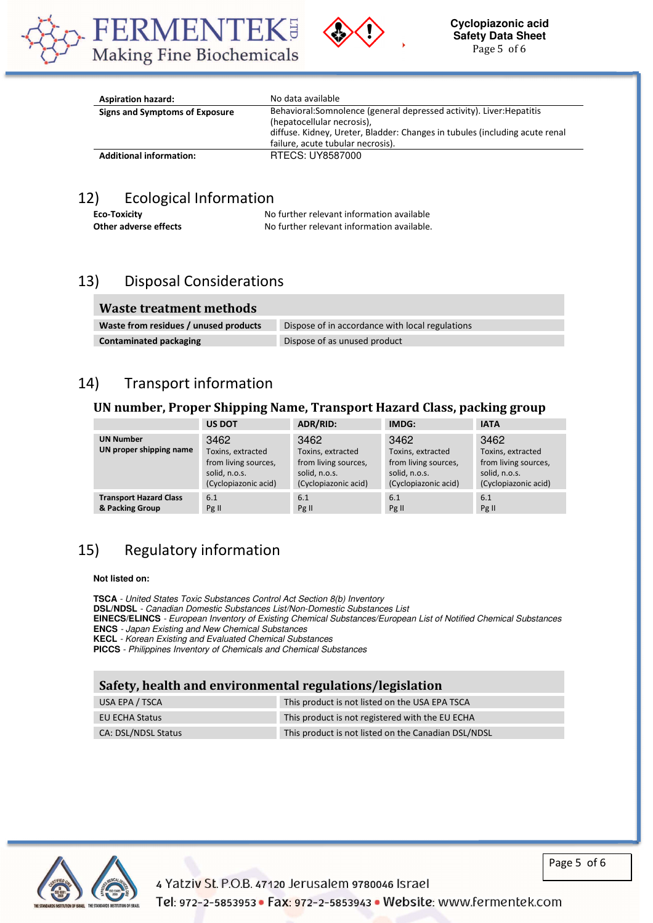



| <b>Aspiration hazard:</b>      | No data available                                                                                                                                                                                                       |
|--------------------------------|-------------------------------------------------------------------------------------------------------------------------------------------------------------------------------------------------------------------------|
| Signs and Symptoms of Exposure | Behavioral: Somnolence (general depressed activity). Liver: Hepatitis<br>(hepatocellular necrosis),<br>diffuse. Kidney, Ureter, Bladder: Changes in tubules (including acute renal<br>failure, acute tubular necrosis). |
| <b>Additional information:</b> | RTECS: UY8587000                                                                                                                                                                                                        |

l

# 12) Ecological Information

**Eco-Toxicity No further relevant information available Other adverse effects** No further relevant information available.

# 13) Disposal Considerations

| Waste treatment methods               |                                                 |
|---------------------------------------|-------------------------------------------------|
| Waste from residues / unused products | Dispose of in accordance with local regulations |
| <b>Contaminated packaging</b>         | Dispose of as unused product                    |

## 14) Transport information

### **UN number, Proper Shipping Name, Transport Hazard Class, packing group**

|                                                  | <b>US DOT</b>                                                                              | ADR/RID:                                                                                   | IMDG:                                                                                      | <b>IATA</b>                                                                                |
|--------------------------------------------------|--------------------------------------------------------------------------------------------|--------------------------------------------------------------------------------------------|--------------------------------------------------------------------------------------------|--------------------------------------------------------------------------------------------|
| <b>UN Number</b><br>UN proper shipping name      | 3462<br>Toxins, extracted<br>from living sources,<br>solid, n.o.s.<br>(Cyclopiazonic acid) | 3462<br>Toxins, extracted<br>from living sources,<br>solid, n.o.s.<br>(Cyclopiazonic acid) | 3462<br>Toxins, extracted<br>from living sources,<br>solid, n.o.s.<br>(Cyclopiazonic acid) | 3462<br>Toxins, extracted<br>from living sources,<br>solid, n.o.s.<br>(Cyclopiazonic acid) |
| <b>Transport Hazard Class</b><br>& Packing Group | 6.1<br>Pg II                                                                               | 6.1<br>Pg II                                                                               | 6.1<br>Pg II                                                                               | 6.1<br>Pg II                                                                               |

# 15) Regulatory information

#### **Not listed on:**

**TSCA** - United States Toxic Substances Control Act Section 8(b) Inventory **DSL/NDSL** - Canadian Domestic Substances List/Non-Domestic Substances List **EINECS/ELINCS** - European Inventory of Existing Chemical Substances/European List of Notified Chemical Substances **ENCS** - Japan Existing and New Chemical Substances **KECL** - Korean Existing and Evaluated Chemical Substances **PICCS** - Philippines Inventory of Chemicals and Chemical Substances

### **Safety, health and environmental regulations/legislation**

| USA EPA / TSCA             | This product is not listed on the USA EPA TSCA      |
|----------------------------|-----------------------------------------------------|
| EU ECHA Status             | This product is not registered with the EU ECHA     |
| <b>CA: DSL/NDSL Status</b> | This product is not listed on the Canadian DSL/NDSL |



Page 5 of 6

4 Yatziv St. P.O.B. 47120 Jerusalem 9780046 Israel Tel: 972-2-5853953 • Fax: 972-2-5853943 • Website: www.fermentek.com